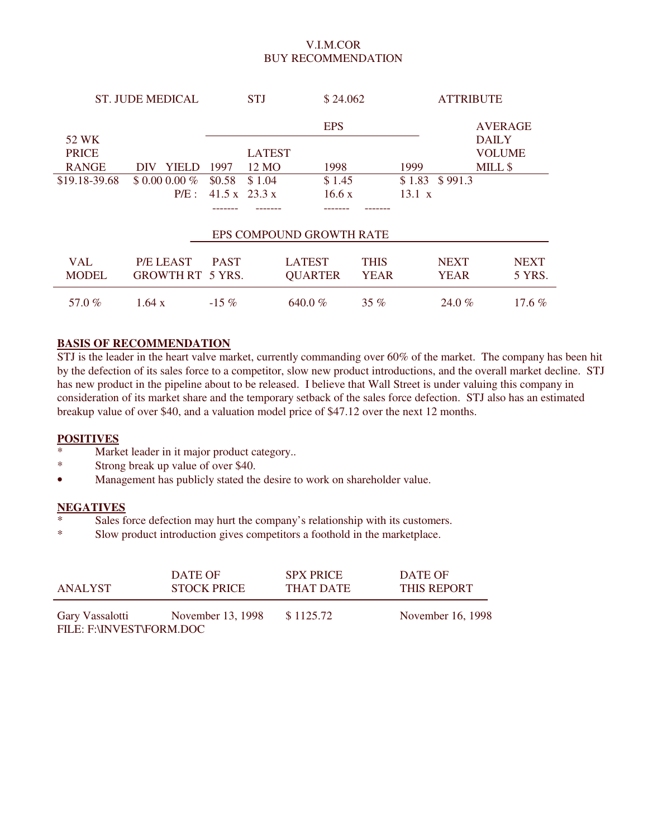## V.I.M.COR BUY RECOMMENDATION

| <b>ST. JUDE MEDICAL</b> | <b>STJ</b>              |                           |               | \$24.062                 |             |               | <b>ATTRIBUTE</b> |                |             |
|-------------------------|-------------------------|---------------------------|---------------|--------------------------|-------------|---------------|------------------|----------------|-------------|
|                         |                         |                           |               | <b>EPS</b>               |             |               |                  | <b>AVERAGE</b> |             |
| 52 WK                   |                         |                           |               |                          |             |               |                  | <b>DAILY</b>   |             |
| <b>PRICE</b>            |                         |                           | <b>LATEST</b> |                          |             |               |                  | <b>VOLUME</b>  |             |
| <b>RANGE</b>            | <b>YIELD</b><br>DIV     | 1997                      | 12 MO         | 1998                     |             | 1999          | MILL \$          |                |             |
| \$19.18-39.68           | $$0.000.00\%$           | \$0.58                    | \$1.04        | \$1.45                   |             | \$1.83        | \$991.3          |                |             |
|                         | $P/E$ :                 | $41.5 \times 23.3 \times$ |               | 16.6 x                   |             | $13.1 \times$ |                  |                |             |
|                         |                         |                           |               |                          |             |               |                  |                |             |
|                         |                         |                           |               | EPS COMPOUND GROWTH RATE |             |               |                  |                |             |
| <b>VAL</b>              | <b>P/E LEAST</b>        | <b>PAST</b>               |               | <b>LATEST</b>            | <b>THIS</b> |               | <b>NEXT</b>      |                | <b>NEXT</b> |
| <b>MODEL</b>            | <b>GROWTH RT 5 YRS.</b> |                           |               | <b>QUARTER</b>           | <b>YEAR</b> |               | <b>YEAR</b>      |                | 5 YRS.      |
| 57.0%                   | 1.64 $x$                | $-15\%$                   |               | 640.0 %                  | 35 $%$      |               | $24.0\%$         |                | $17.6\%$    |

### **BASIS OF RECOMMENDATION**

STJ is the leader in the heart valve market, currently commanding over 60% of the market. The company has been hit by the defection of its sales force to a competitor, slow new product introductions, and the overall market decline. STJ has new product in the pipeline about to be released. I believe that Wall Street is under valuing this company in consideration of its market share and the temporary setback of the sales force defection. STJ also has an estimated breakup value of over \$40, and a valuation model price of \$47.12 over the next 12 months.

#### **POSITIVES**

- \* Market leader in it major product category..<br>\* Strong break up value of over \$40
- Strong break up value of over \$40.
- Management has publicly stated the desire to work on shareholder value.

#### **NEGATIVES**

- Sales force defection may hurt the company's relationship with its customers.
- \* Slow product introduction gives competitors a foothold in the marketplace.

| ANALYST                                     | DATE OF            | <b>SPX PRICE</b> | DATE OF            |
|---------------------------------------------|--------------------|------------------|--------------------|
|                                             | <b>STOCK PRICE</b> | THAT DATE        | <b>THIS REPORT</b> |
| Gary Vassalotti<br>FILE: F:\INVEST\FORM.DOC | November 13, 1998  | \$1125.72        | November 16, 1998  |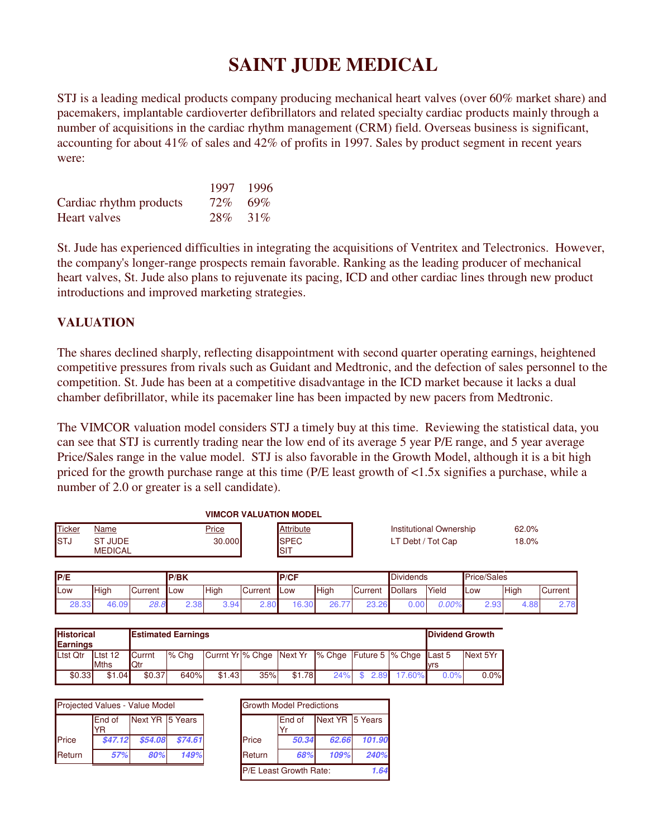# **SAINT JUDE MEDICAL**

STJ is a leading medical products company producing mechanical heart valves (over 60% market share) and pacemakers, implantable cardioverter defibrillators and related specialty cardiac products mainly through a number of acquisitions in the cardiac rhythm management (CRM) field. Overseas business is significant, accounting for about 41% of sales and 42% of profits in 1997. Sales by product segment in recent years were:

|                         |         | 1997 1996 |
|-------------------------|---------|-----------|
| Cardiac rhythm products | 72% 69% |           |
| Heart valves            |         | 28\% 31\% |

St. Jude has experienced difficulties in integrating the acquisitions of Ventritex and Telectronics. However, the company's longer-range prospects remain favorable. Ranking as the leading producer of mechanical heart valves, St. Jude also plans to rejuvenate its pacing, ICD and other cardiac lines through new product introductions and improved marketing strategies.

## **VALUATION**

The shares declined sharply, reflecting disappointment with second quarter operating earnings, heightened competitive pressures from rivals such as Guidant and Medtronic, and the defection of sales personnel to the competition. St. Jude has been at a competitive disadvantage in the ICD market because it lacks a dual chamber defibrillator, while its pacemaker line has been impacted by new pacers from Medtronic.

The VIMCOR valuation model considers STJ a timely buy at this time. Reviewing the statistical data, you can see that STJ is currently trading near the low end of its average 5 year P/E range, and 5 year average Price/Sales range in the value model. STJ is also favorable in the Growth Model, although it is a bit high priced for the growth purchase range at this time (P/E least growth of <1.5x signifies a purchase, while a number of 2.0 or greater is a sell candidate).

|              |                                     | <b>VIMCOR VALUATION MODEL</b> |                      |                         |       |
|--------------|-------------------------------------|-------------------------------|----------------------|-------------------------|-------|
| Ticker       | Name                                | <u>Price</u>                  | Attribute            | Institutional Ownership | 62.0% |
| <b>I</b> STJ | <b>UUDE</b><br>ST<br><b>MEDICAL</b> | 30.000                        | <b>ISPEC</b><br>ISIT | LT Debt / Tot Cap       | 18.0% |

| IP/E        |       |            | <b>P/BK</b> |      |         | <b>IP/CF</b>           |      |                | Dividends |       | Price/Sales |             |         |
|-------------|-------|------------|-------------|------|---------|------------------------|------|----------------|-----------|-------|-------------|-------------|---------|
| <b>ILow</b> | High  | Current    | <b>ILow</b> | High | Current | <b>ILOW</b>            | High | <b>Current</b> | Dollars   | Yield | Low         | <b>High</b> | Current |
| 28.33       | 46.09 | റഠ<br>20.C | 2.38        | ີ    | 2.80    | $\delta$ .30<br>$\sim$ | 26.7 | 23.26          | 0.00      | 0.00% | 2.93        | 4.88        | 70      |

| <b>Historical</b><br><b>Estimated Earnings</b><br>Earnings |                        |                         |         |        |     | Dividend Growth |                                                                              |      |        |      |          |
|------------------------------------------------------------|------------------------|-------------------------|---------|--------|-----|-----------------|------------------------------------------------------------------------------|------|--------|------|----------|
| Ltst Qtr                                                   | Ltst 12<br><b>Mths</b> | <b>I</b> Currnt<br>lQtr | $%$ Cha |        |     |                 | Currnt Yr \% Chge   Next Yr \% Chge \ender Future 5 \% Chge \ender 5 \less 5 |      |        | lvrs | Next 5Yr |
| \$0.33                                                     | \$1.04                 | \$0.37                  | 640%    | \$1.43 | 35% | \$1.78          | 24%                                                                          | 2.89 | 17.60% | 0.0% | 0.0%     |

| Projected Values - Value Model |                       |                 | <b>Growth Model Predictions</b> |               |                |                   |
|--------------------------------|-----------------------|-----------------|---------------------------------|---------------|----------------|-------------------|
|                                | <b>I</b> End of<br>YR | Next YR 5 Years |                                 |               | <b>IEnd of</b> | Next <sup>1</sup> |
| <b>I</b> Price                 | \$47.12               | \$54.08         | \$74.61                         | <b>Price</b>  | 50.34          | 62                |
| Return                         | 57%                   | 80%             | 149%                            | <b>Return</b> | 68%            | 10                |

|        | Projected Values - Value Model |                 |         |        | <b>Growth Model Predictions</b> |                 |        |
|--------|--------------------------------|-----------------|---------|--------|---------------------------------|-----------------|--------|
|        | End of<br>YR                   | Next YR 5 Years |         |        | End of                          | Next YR 5 Years |        |
| Price  | \$47.12                        | \$54.08         | \$74.61 | Price  | 50.34                           | 62.66           | 101.90 |
| Return | 57%                            | 80%             | 149%    | Return | 68%                             | 109%            | 240%   |
|        |                                |                 |         |        | <b>P/E Least Growth Rate:</b>   |                 | 1.64   |